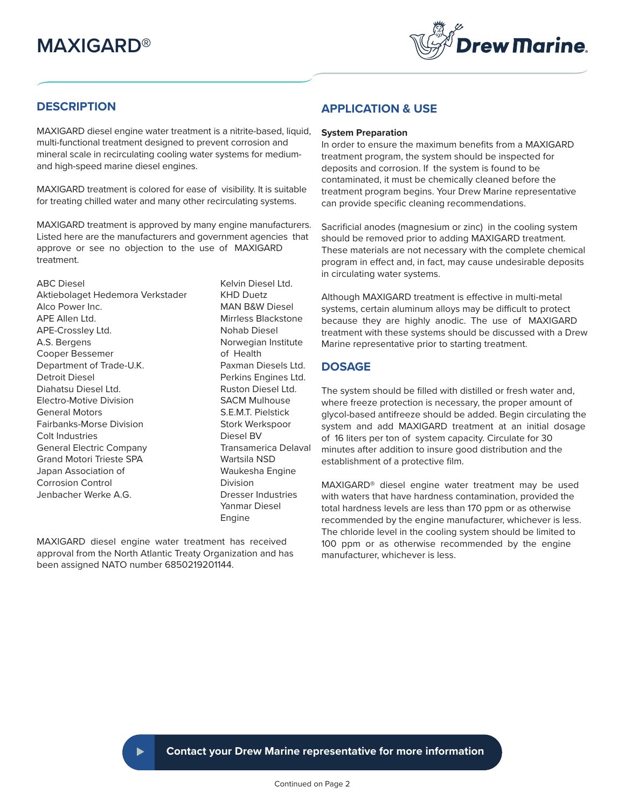

# **DESCRIPTION**

MAXIGARD diesel engine water treatment is a nitrite-based, liquid, multi-functional treatment designed to prevent corrosion and mineral scale in recirculating cooling water systems for mediumand high-speed marine diesel engines.

MAXIGARD treatment is colored for ease of visibility. It is suitable for treating chilled water and many other recirculating systems.

MAXIGARD treatment is approved by many engine manufacturers. Listed here are the manufacturers and government agencies that approve or see no objection to the use of MAXIGARD treatment.

ABC Diesel **ABC** Diesel Ltd. Aktiebolaget Hedemora Verkstader KHD Duetz Alco Power Inc. **MAN B&W Diesel** APE Allen Ltd. The Mirrless Blackstone APE-Crossley Ltd. Nohab Diesel A.S. Bergens Norwegian Institute Cooper Bessemer **come and Cooper Bessemer** by a control of Health Department of Trade-U.K. Paxman Diesels Ltd. Detroit Diesel **Perkins Engines Ltd.** Diahatsu Diesel Ltd. Natural Ruston Diesel Ltd. Electro-Motive Division SACM Mulhouse General Motors S.E.M.T. Pielstick Fairbanks-Morse Division Stork Werkspoor Colt Industries **Diesel BV** General Electric Company Transamerica Delaval Grand Motori Trieste SPA Wartsila NSD Japan Association of Waukesha Engine Corrosion Control **Division** Jenbacher Werke A.G. Dresser Industries Yanmar Diesel Engine

MAXIGARD diesel engine water treatment has received approval from the North Atlantic Treaty Organization and has been assigned NATO number 6850219201144.

## **APPLICATION & USE**

#### **System Preparation**

In order to ensure the maximum benefits from a MAXIGARD treatment program, the system should be inspected for deposits and corrosion. If the system is found to be contaminated, it must be chemically cleaned before the treatment program begins. Your Drew Marine representative can provide specific cleaning recommendations.

Sacrificial anodes (magnesium or zinc) in the cooling system should be removed prior to adding MAXIGARD treatment. These materials are not necessary with the complete chemical program in effect and, in fact, may cause undesirable deposits in circulating water systems.

Although MAXIGARD treatment is effective in multi-metal systems, certain aluminum alloys may be difficult to protect because they are highly anodic. The use of MAXIGARD treatment with these systems should be discussed with a Drew Marine representative prior to starting treatment.

# **DOSAGE**

The system should be filled with distilled or fresh water and, where freeze protection is necessary, the proper amount of glycol-based antifreeze should be added. Begin circulating the system and add MAXIGARD treatment at an initial dosage of 16 liters per ton of system capacity. Circulate for 30 minutes after addition to insure good distribution and the establishment of a protective film.

MAXIGARD® diesel engine water treatment may be used with waters that have hardness contamination, provided the total hardness levels are less than 170 ppm or as otherwise recommended by the engine manufacturer, whichever is less. The chloride level in the cooling system should be limited to 100 ppm or as otherwise recommended by the engine manufacturer, whichever is less.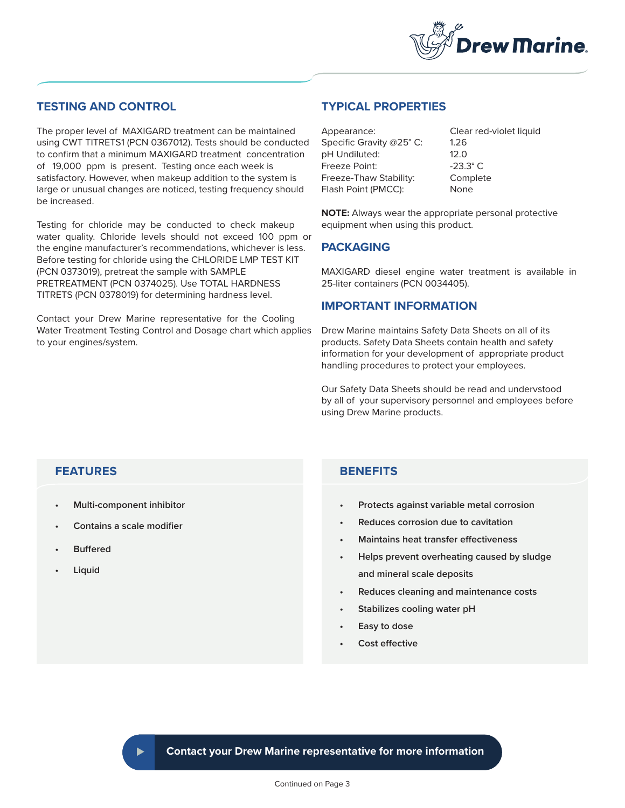

## **TESTING AND CONTROL**

The proper level of MAXIGARD treatment can be maintained using CWT TITRETS1 (PCN 0367012). Tests should be conducted to confirm that a minimum MAXIGARD treatment concentration of 19,000 ppm is present. Testing once each week is satisfactory. However, when makeup addition to the system is large or unusual changes are noticed, testing frequency should be increased.

Testing for chloride may be conducted to check makeup water quality. Chloride levels should not exceed 100 ppm or the engine manufacturer's recommendations, whichever is less. Before testing for chloride using the CHLORIDE LMP TEST KIT (PCN 0373019), pretreat the sample with SAMPLE PRETREATMENT (PCN 0374025). Use TOTAL HARDNESS TITRETS (PCN 0378019) for determining hardness level.

Contact your Drew Marine representative for the Cooling Water Treatment Testing Control and Dosage chart which applies to your engines/system.

# **TYPICAL PROPERTIES**

Appearance: Clear red-violet liquid Specific Gravity @25° C: 1.26 pH Undiluted: 12.0 Freeze Point: 23.3° C Freeze-Thaw Stability: Complete Flash Point (PMCC): None

**NOTE:** Always wear the appropriate personal protective equipment when using this product.

#### **PACKAGING**

MAXIGARD diesel engine water treatment is available in 25-liter containers (PCN 0034405).

#### **IMPORTANT INFORMATION**

Drew Marine maintains Safety Data Sheets on all of its products. Safety Data Sheets contain health and safety information for your development of appropriate product handling procedures to protect your employees.

Our Safety Data Sheets should be read and undervstood by all of your supervisory personnel and employees before using Drew Marine products.

## **FEATURES**

- **• Multi-component inhibitor**
- **• Contains a scale modifier**
- **• Buffered**
- **• Liquid**

## **BENEFITS**

- **Protects against variable metal corrosion**
- **Reduces corrosion due to cavitation**
- **Maintains heat transfer effectiveness**
- **Helps prevent overheating caused by sludge and mineral scale deposits**
- **Reduces cleaning and maintenance costs**
- **Stabilizes cooling water pH**
- **Easy to dose**
- **Cost effective**

**Contact your Drew Marine representative for more information**